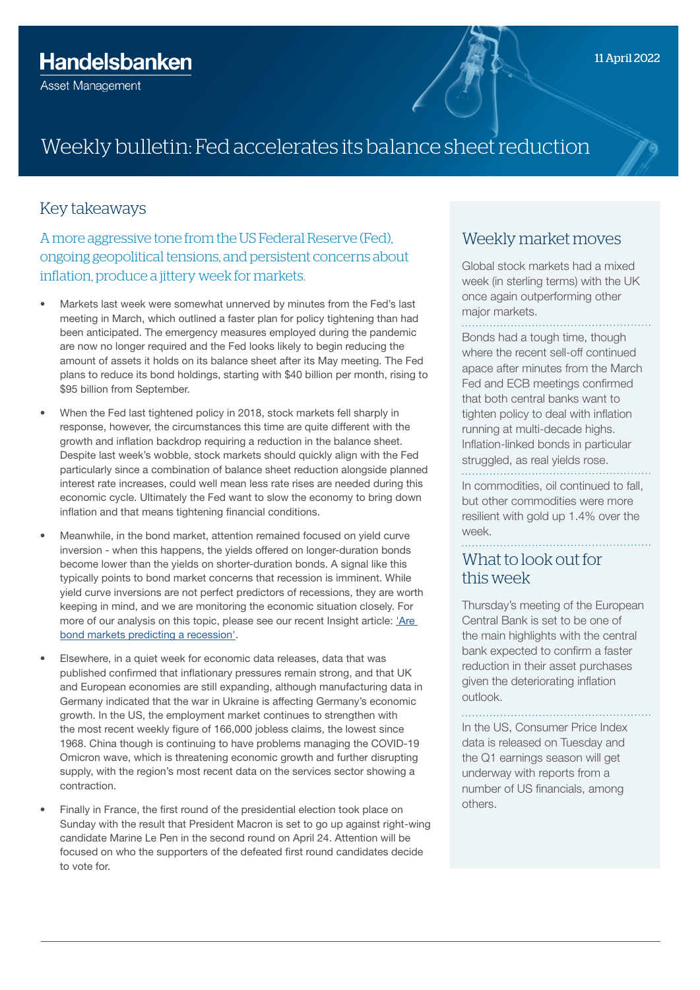# Weekly bulletin: Fed accelerates its balance sheet reduction

#### Key takeaways

A more aggressive tone from the US Federal Reserve (Fed), ongoing geopolitical tensions, and persistent concerns about inflation, produce a jittery week for markets.

- Markets last week were somewhat unnerved by minutes from the Fed's last meeting in March, which outlined a faster plan for policy tightening than had been anticipated. The emergency measures employed during the pandemic are now no longer required and the Fed looks likely to begin reducing the amount of assets it holds on its balance sheet after its May meeting. The Fed plans to reduce its bond holdings, starting with \$40 billion per month, rising to \$95 billion from September.
- When the Fed last tightened policy in 2018, stock markets fell sharply in response, however, the circumstances this time are quite different with the growth and inflation backdrop requiring a reduction in the balance sheet. Despite last week's wobble, stock markets should quickly align with the Fed particularly since a combination of balance sheet reduction alongside planned interest rate increases, could well mean less rate rises are needed during this economic cycle. Ultimately the Fed want to slow the economy to bring down inflation and that means tightening financial conditions.
- Meanwhile, in the bond market, attention remained focused on yield curve inversion - when this happens, the yields offered on longer-duration bonds become lower than the yields on shorter-duration bonds. A signal like this typically points to bond market concerns that recession is imminent. While yield curve inversions are not perfect predictors of recessions, they are worth keeping in mind, and we are monitoring the economic situation closely. For more of our analysis on this topic, please see our recent Insight article: ['Are](https://wealthandasset.handelsbanken.co.uk/media/qvjb2rlz/insight-yield-curve-inversion-apr-2022.pdf)  [bond markets predicting a recession'](https://wealthandasset.handelsbanken.co.uk/media/qvjb2rlz/insight-yield-curve-inversion-apr-2022.pdf).
- Elsewhere, in a quiet week for economic data releases, data that was published confirmed that inflationary pressures remain strong, and that UK and European economies are still expanding, although manufacturing data in Germany indicated that the war in Ukraine is affecting Germany's economic growth. In the US, the employment market continues to strengthen with the most recent weekly figure of 166,000 jobless claims, the lowest since 1968. China though is continuing to have problems managing the COVID-19 Omicron wave, which is threatening economic growth and further disrupting supply, with the region's most recent data on the services sector showing a contraction.
- Finally in France, the first round of the presidential election took place on Sunday with the result that President Macron is set to go up against right-wing candidate Marine Le Pen in the second round on April 24. Attention will be focused on who the supporters of the defeated first round candidates decide to vote for.

#### Weekly market moves

Global stock markets had a mixed week (in sterling terms) with the UK once again outperforming other major markets.

Bonds had a tough time, though where the recent sell-off continued apace after minutes from the March Fed and ECB meetings confirmed that both central banks want to tighten policy to deal with inflation running at multi-decade highs. Inflation-linked bonds in particular struggled, as real vields rose. 

In commodities, oil continued to fall, but other commodities were more resilient with gold up 1.4% over the week.

#### What to look out for this week

Thursday's meeting of the European Central Bank is set to be one of the main highlights with the central bank expected to confirm a faster reduction in their asset purchases given the deteriorating inflation outlook.

In the US, Consumer Price Index data is released on Tuesday and the Q1 earnings season will get underway with reports from a number of US financials, among others.